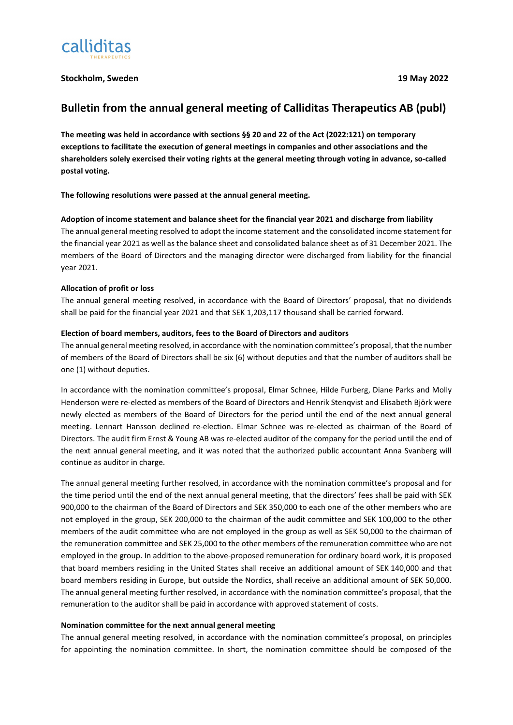

# **Stockholm, Sweden 19 May 2022**

# **Bulletin from the annual general meeting of Calliditas Therapeutics AB (publ)**

**The meeting was held in accordance with sections §§ 20 and 22 of the Act (2022:121) on temporary exceptions to facilitate the execution of general meetings in companies and other associations and the shareholders solely exercised their voting rights at the general meeting through voting in advance, so-called postal voting.**

**The following resolutions were passed at the annual general meeting.**

# **Adoption of income statement and balance sheet for the financial year 2021 and discharge from liability**

The annual general meeting resolved to adopt the income statement and the consolidated income statement for the financial year 2021 as well as the balance sheet and consolidated balance sheet as of 31 December 2021. The members of the Board of Directors and the managing director were discharged from liability for the financial year 2021.

# **Allocation of profit or loss**

The annual general meeting resolved, in accordance with the Board of Directors' proposal, that no dividends shall be paid for the financial year 2021 and that SEK 1,203,117 thousand shall be carried forward.

# **Election of board members, auditors, fees to the Board of Directors and auditors**

The annual general meeting resolved, in accordance with the nomination committee's proposal, that the number of members of the Board of Directors shall be six (6) without deputies and that the number of auditors shall be one (1) without deputies.

In accordance with the nomination committee's proposal, Elmar Schnee, Hilde Furberg, Diane Parks and Molly Henderson were re-elected as members of the Board of Directors and Henrik Stenqvist and Elisabeth Björk were newly elected as members of the Board of Directors for the period until the end of the next annual general meeting. Lennart Hansson declined re-election. Elmar Schnee was re-elected as chairman of the Board of Directors. The audit firm Ernst & Young AB was re-elected auditor of the company for the period until the end of the next annual general meeting, and it was noted that the authorized public accountant Anna Svanberg will continue as auditor in charge.

The annual general meeting further resolved, in accordance with the nomination committee's proposal and for the time period until the end of the next annual general meeting, that the directors' fees shall be paid with SEK 900,000 to the chairman of the Board of Directors and SEK 350,000 to each one of the other members who are not employed in the group, SEK 200,000 to the chairman of the audit committee and SEK 100,000 to the other members of the audit committee who are not employed in the group as well as SEK 50,000 to the chairman of the remuneration committee and SEK 25,000 to the other members of the remuneration committee who are not employed in the group. In addition to the above-proposed remuneration for ordinary board work, it is proposed that board members residing in the United States shall receive an additional amount of SEK 140,000 and that board members residing in Europe, but outside the Nordics, shall receive an additional amount of SEK 50,000. The annual general meeting further resolved, in accordance with the nomination committee's proposal, that the remuneration to the auditor shall be paid in accordance with approved statement of costs.

# **Nomination committee for the next annual general meeting**

The annual general meeting resolved, in accordance with the nomination committee's proposal, on principles for appointing the nomination committee. In short, the nomination committee should be composed of the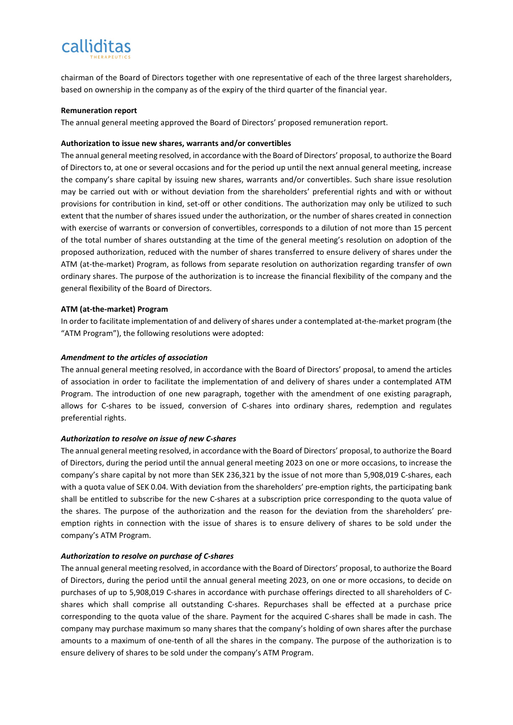# calliditas

chairman of the Board of Directors together with one representative of each of the three largest shareholders, based on ownership in the company as of the expiry of the third quarter of the financial year.

#### **Remuneration report**

The annual general meeting approved the Board of Directors' proposed remuneration report.

# **Authorization to issue new shares, warrants and/or convertibles**

The annual general meeting resolved, in accordance with the Board of Directors' proposal, to authorize the Board of Directors to, at one or several occasions and for the period up until the next annual general meeting, increase the company's share capital by issuing new shares, warrants and/or convertibles. Such share issue resolution may be carried out with or without deviation from the shareholders' preferential rights and with or without provisions for contribution in kind, set-off or other conditions. The authorization may only be utilized to such extent that the number of shares issued under the authorization, or the number of shares created in connection with exercise of warrants or conversion of convertibles, corresponds to a dilution of not more than 15 percent of the total number of shares outstanding at the time of the general meeting's resolution on adoption of the proposed authorization, reduced with the number of shares transferred to ensure delivery of shares under the ATM (at-the-market) Program, as follows from separate resolution on authorization regarding transfer of own ordinary shares. The purpose of the authorization is to increase the financial flexibility of the company and the general flexibility of the Board of Directors.

# **ATM (at-the-market) Program**

In order to facilitate implementation of and delivery of shares under a contemplated at-the-market program (the "ATM Program"), the following resolutions were adopted:

# *Amendment to the articles of association*

The annual general meeting resolved, in accordance with the Board of Directors' proposal, to amend the articles of association in order to facilitate the implementation of and delivery of shares under a contemplated ATM Program. The introduction of one new paragraph, together with the amendment of one existing paragraph, allows for C-shares to be issued, conversion of C-shares into ordinary shares, redemption and regulates preferential rights.

# *Authorization to resolve on issue of new C-shares*

The annual general meeting resolved, in accordance with the Board of Directors' proposal, to authorize the Board of Directors, during the period until the annual general meeting 2023 on one or more occasions, to increase the company's share capital by not more than SEK 236,321 by the issue of not more than 5,908,019 C-shares, each with a quota value of SEK 0.04. With deviation from the shareholders' pre-emption rights, the participating bank shall be entitled to subscribe for the new C-shares at a subscription price corresponding to the quota value of the shares. The purpose of the authorization and the reason for the deviation from the shareholders' preemption rights in connection with the issue of shares is to ensure delivery of shares to be sold under the company's ATM Program.

# *Authorization to resolve on purchase of C-shares*

The annual general meeting resolved, in accordance with the Board of Directors' proposal, to authorize the Board of Directors, during the period until the annual general meeting 2023, on one or more occasions, to decide on purchases of up to 5,908,019 C-shares in accordance with purchase offerings directed to all shareholders of Cshares which shall comprise all outstanding C-shares. Repurchases shall be effected at a purchase price corresponding to the quota value of the share. Payment for the acquired C-shares shall be made in cash. The company may purchase maximum so many shares that the company's holding of own shares after the purchase amounts to a maximum of one-tenth of all the shares in the company. The purpose of the authorization is to ensure delivery of shares to be sold under the company's ATM Program.